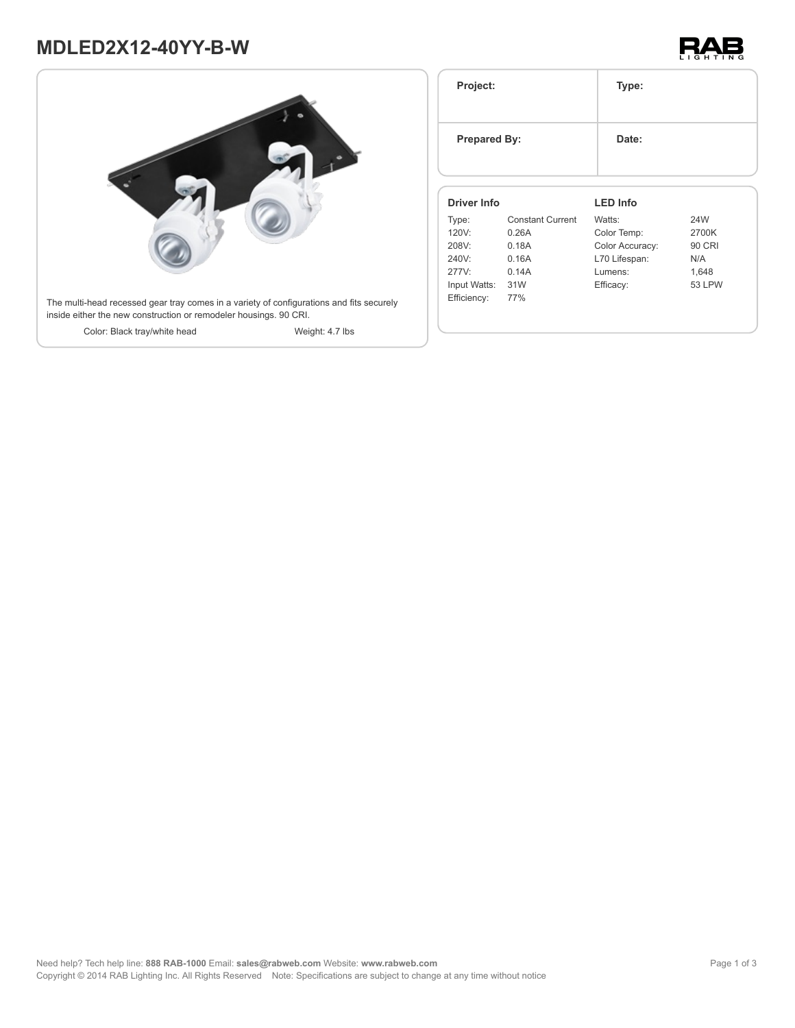# **MDLED2X12-40YY-B-W**





| Project:<br><b>Prepared By:</b> |                         | Type:           |               |
|---------------------------------|-------------------------|-----------------|---------------|
|                                 |                         | Date:           |               |
| Driver Info                     |                         | <b>LED Info</b> |               |
| Type:                           | <b>Constant Current</b> | Watts:          | 24W           |
| 120V:                           | 0.26A                   | Color Temp:     | 2700K         |
| 208V:                           | 0.18A                   | Color Accuracy: | <b>90 CRI</b> |
| 240V:                           | 0.16A                   | L70 Lifespan:   | N/A           |
| 277V                            | 0.14A                   | Lumens:         | 1,648         |
|                                 |                         | Efficacy:       | <b>53 LPW</b> |
| Input Watts: 31W                |                         |                 |               |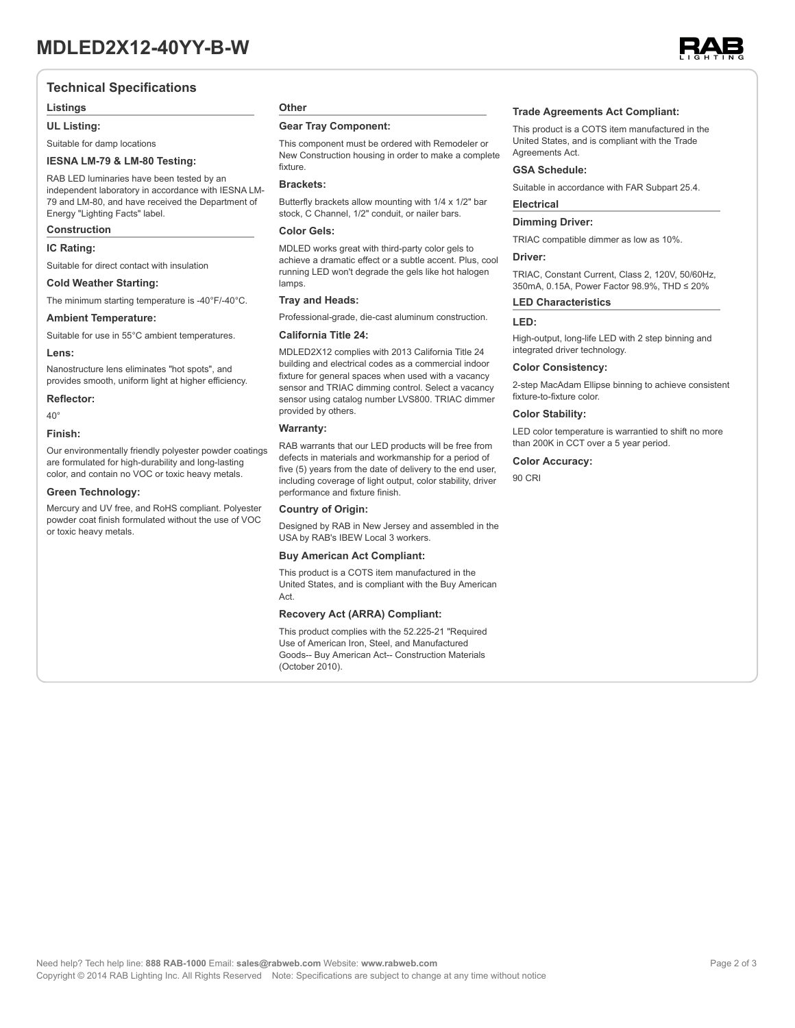# **Technical Specifications**

### **Listings**

**UL Listing:**

# Suitable for damp locations

# **IESNA LM-79 & LM-80 Testing:**

RAB LED luminaries have been tested by an independent laboratory in accordance with IESNA LM-79 and LM-80, and have received the Department of Energy "Lighting Facts" label.

## **Construction**

#### **IC Rating:**

Suitable for direct contact with insulation

#### **Cold Weather Starting:**

The minimum starting temperature is -40°F/-40°C.

# **Ambient Temperature:**

Suitable for use in 55°C ambient temperatures. **Lens:**

Nanostructure lens eliminates "hot spots", and provides smooth, uniform light at higher efficiency.

# **Reflector:**

40°

#### **Finish:**

Our environmentally friendly polyester powder coatings are formulated for high-durability and long-lasting color, and contain no VOC or toxic heavy metals.

## **Green Technology:**

Mercury and UV free, and RoHS compliant. Polyester powder coat finish formulated without the use of VOC or toxic heavy metals.

# **Other**

# **Gear Tray Component:**

This component must be ordered with Remodeler or New Construction housing in order to make a complete fixture.

# **Brackets:**

Butterfly brackets allow mounting with 1/4 x 1/2" bar stock, C Channel, 1/2" conduit, or nailer bars.

# **Color Gels:**

MDLED works great with third-party color gels to achieve a dramatic effect or a subtle accent. Plus, cool running LED won't degrade the gels like hot halogen lamps.

# **Tray and Heads:**

Professional-grade, die-cast aluminum construction.

# **California Title 24:**

MDLED2X12 complies with 2013 California Title 24 building and electrical codes as a commercial indoor fixture for general spaces when used with a vacancy sensor and TRIAC dimming control. Select a vacancy sensor using catalog number LVS800. TRIAC dimmer provided by others.

# **Warranty:**

RAB warrants that our LED products will be free from defects in materials and workmanship for a period of five (5) years from the date of delivery to the end user, including coverage of light output, color stability, driver performance and fixture finish.

### **Country of Origin:**

Designed by RAB in New Jersey and assembled in the USA by RAB's IBEW Local 3 workers.

# **Buy American Act Compliant:**

This product is a COTS item manufactured in the United States, and is compliant with the Buy American Act.

# **Recovery Act (ARRA) Compliant:**

This product complies with the 52.225-21 "Required Use of American Iron, Steel, and Manufactured Goods-- Buy American Act-- Construction Materials (October 2010).

## **Trade Agreements Act Compliant:**

This product is a COTS item manufactured in the United States, and is compliant with the Trade Agreements Act.

#### **GSA Schedule:**

Suitable in accordance with FAR Subpart 25.4.

#### **Electrical**

#### **Dimming Driver:**

TRIAC compatible dimmer as low as 10%.

# **Driver:**

TRIAC, Constant Current, Class 2, 120V, 50/60Hz, 350mA, 0.15A, Power Factor 98.9%, THD ≤ 20%

#### **LED Characteristics**

## **LED:**

High-output, long-life LED with 2 step binning and integrated driver technology.

#### **Color Consistency:**

2-step MacAdam Ellipse binning to achieve consistent fixture-to-fixture color.

#### **Color Stability:**

LED color temperature is warrantied to shift no more than 200K in CCT over a 5 year period.

#### **Color Accuracy:**

90 CRI